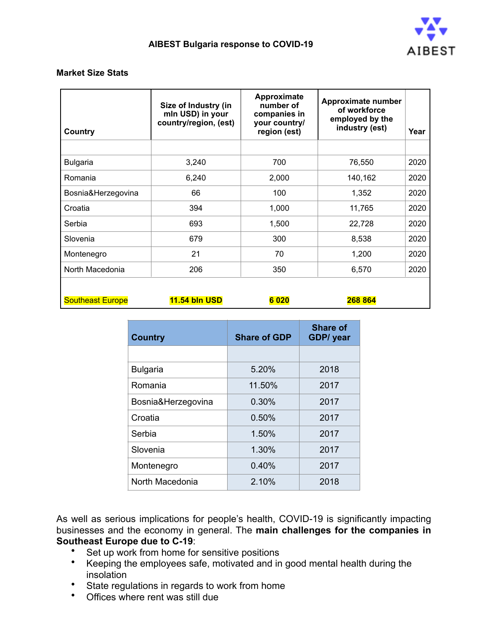

#### **Market Size Stats**

| Country            | Size of Industry (in<br>mln USD) in your<br>country/region, (est) | Approximate<br>number of<br>companies in<br>your country/<br>region (est) | Approximate number<br>of workforce<br>employed by the<br>industry (est) | Year |
|--------------------|-------------------------------------------------------------------|---------------------------------------------------------------------------|-------------------------------------------------------------------------|------|
|                    |                                                                   |                                                                           |                                                                         |      |
| <b>Bulgaria</b>    | 3,240                                                             | 700                                                                       | 76,550                                                                  | 2020 |
| Romania            | 6,240                                                             | 2,000                                                                     | 140,162                                                                 | 2020 |
| Bosnia&Herzegovina | 66                                                                | 100                                                                       | 1,352                                                                   | 2020 |
| Croatia            | 394                                                               | 1,000                                                                     | 11,765                                                                  | 2020 |
| Serbia             | 693                                                               | 1,500                                                                     | 22,728                                                                  | 2020 |
| Slovenia           | 679                                                               | 300                                                                       | 8,538                                                                   | 2020 |
| Montenegro         | 21                                                                | 70                                                                        | 1,200                                                                   | 2020 |
| North Macedonia    | 206                                                               | 350                                                                       | 6,570                                                                   | 2020 |
|                    |                                                                   |                                                                           |                                                                         |      |

| <b>11.54 bln USD</b><br><b>Southeast Europe</b> | 020 | 268 864 |
|-------------------------------------------------|-----|---------|
|-------------------------------------------------|-----|---------|

| <b>Country</b>     | <b>Share of GDP</b> | <b>Share of</b><br><b>GDP/</b> year |
|--------------------|---------------------|-------------------------------------|
|                    |                     |                                     |
| <b>Bulgaria</b>    | 5.20%               | 2018                                |
| Romania            | 11.50%              | 2017                                |
| Bosnia&Herzegovina | 0.30%               | 2017                                |
| Croatia            | 0.50%               | 2017                                |
| Serbia             | 1.50%               | 2017                                |
| Slovenia           | 1.30%               | 2017                                |
| Montenegro         | 0.40%               | 2017                                |
| North Macedonia    | 2.10%               | 2018                                |

As well as serious implications for people's health, COVID-19 is significantly impacting businesses and the economy in general. The **main challenges for the companies in Southeast Europe due to C-19**:

- Set up work from home for sensitive positions
- Keeping the employees safe, motivated and in good mental health during the insolation
- State regulations in regards to work from home
- Offices where rent was still due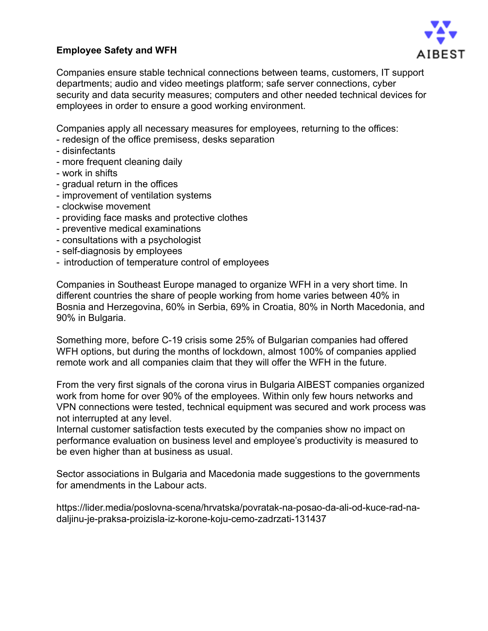# **Employee Safety and WFH**



Companies ensure stable technical connections between teams, customers, IT support departments; audio and video meetings platform; safe server connections, cyber security and data security measures; computers and other needed technical devices for employees in order to ensure a good working environment.

Companies apply all necessary measures for employees, returning to the offices:

- redesign of the office premisess, desks separation
- disinfectants
- more frequent cleaning daily
- work in shifts
- gradual return in the offices
- improvement of ventilation systems
- clockwise movement
- providing face masks and protective clothes
- preventive medical examinations
- consultations with a psychologist
- self-diagnosis by employees
- introduction of temperature control of employees

Companies in Southeast Europe managed to organize WFH in a very short time. In different countries the share of people working from home varies between 40% in Bosnia and Herzegovina, 60% in Serbia, 69% in Croatia, 80% in North Macedonia, and 90% in Bulgaria.

Something more, before C-19 crisis some 25% of Bulgarian companies had offered WFH options, but during the months of lockdown, almost 100% of companies applied remote work and all companies claim that they will offer the WFH in the future.

From the very first signals of the corona virus in Bulgaria AIBEST companies organized work from home for over 90% of the employees. Within only few hours networks and VPN connections were tested, technical equipment was secured and work process was not interrupted at any level.

Internal customer satisfaction tests executed by the companies show no impact on performance evaluation on business level and employee's productivity is measured to be even higher than at business as usual.

Sector associations in Bulgaria and Macedonia made suggestions to the governments for amendments in the Labour acts.

[https://lider.media/poslovna-scena/hrvatska/povratak-na-posao-da-ali-od-kuce-rad-na](https://lider.media/poslovna-scena/hrvatska/povratak-na-posao-da-ali-od-kuce-rad-na-daljinu-je-praksa-proizisla-iz-korone-koju-cemo-zadrzati-131437)[daljinu-je-praksa-proizisla-iz-korone-koju-cemo-zadrzati-131437](https://lider.media/poslovna-scena/hrvatska/povratak-na-posao-da-ali-od-kuce-rad-na-daljinu-je-praksa-proizisla-iz-korone-koju-cemo-zadrzati-131437)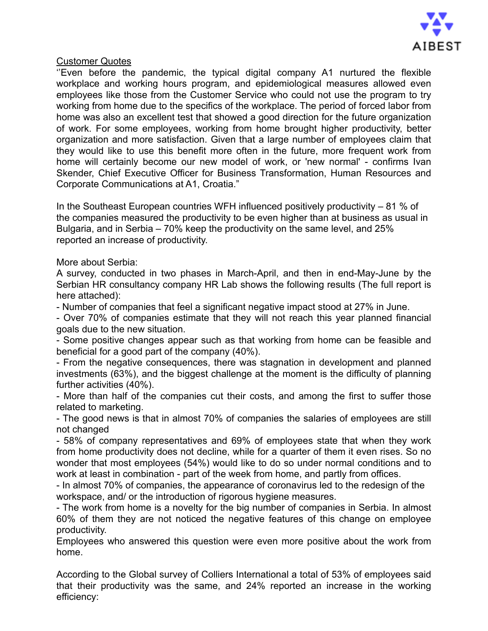

### Customer Quotes

''Even before the pandemic, the typical digital company A1 nurtured the flexible workplace and working hours program, and epidemiological measures allowed even employees like those from the Customer Service who could not use the program to try working from home due to the specifics of the workplace. The period of forced labor from home was also an excellent test that showed a good direction for the future organization of work. For some employees, working from home brought higher productivity, better organization and more satisfaction. Given that a large number of employees claim that they would like to use this benefit more often in the future, more frequent work from home will certainly become our new model of work, or 'new normal' - confirms Ivan Skender, Chief Executive Officer for Business Transformation, Human Resources and Corporate Communications at A1, Croatia."

In the Southeast European countries WFH influenced positively productivity – 81 % of the companies measured the productivity to be even higher than at business as usual in Bulgaria, and in Serbia – 70% keep the productivity on the same level, and 25% reported an increase of productivity.

### More about Serbia:

A survey, conducted in two phases in March-April, and then in end-May-June by the Serbian HR consultancy company HR Lab shows the following results (The full report is here attached):

- Number of companies that feel a significant negative impact stood at 27% in June.

- Over 70% of companies estimate that they will not reach this year planned financial goals due to the new situation.

- Some positive changes appear such as that working from home can be feasible and beneficial for a good part of the company (40%).

- From the negative consequences, there was stagnation in development and planned investments (63%), and the biggest challenge at the moment is the difficulty of planning further activities (40%).

- More than half of the companies cut their costs, and among the first to suffer those related to marketing.

- The good news is that in almost 70% of companies the salaries of employees are still not changed

- 58% of company representatives and 69% of employees state that when they work from home productivity does not decline, while for a quarter of them it even rises. So no wonder that most employees (54%) would like to do so under normal conditions and to work at least in combination - part of the week from home, and partly from offices.

- In almost 70% of companies, the appearance of coronavirus led to the redesign of the workspace, and/ or the introduction of rigorous hygiene measures.

- The work from home is a novelty for the big number of companies in Serbia. In almost 60% of them they are not noticed the negative features of this change on employee productivity.

Employees who answered this question were even more positive about the work from home.

According to the Global survey of Colliers International a total of 53% of employees said that their productivity was the same, and 24% reported an increase in the working efficiency: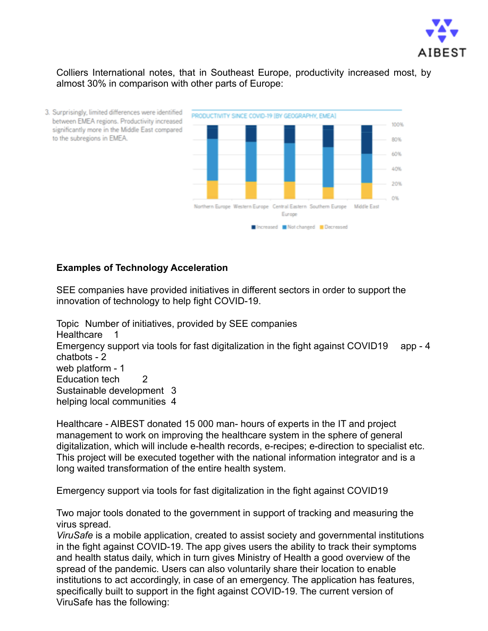

Colliers International notes, that in Southeast Europe, productivity increased most, by almost 30% in comparison with other parts of Europe:



### **Examples of Technology Acceleration**

SEE companies have provided initiatives in different sectors in order to support the innovation of technology to help fight COVID-19.

Topic Number of initiatives, provided by SEE companies Healthcare 1 Emergency support via tools for fast digitalization in the fight against COVID19 app - 4 chatbots - 2 web platform - 1 Education tech 2 Sustainable development 3 helping local communities 4

Healthcare - AIBEST donated 15 000 man- hours of experts in the IT and project management to work on improving the healthcare system in the sphere of general digitalization, which will include е-health records, e-recipes; e-direction to specialist etc. This project will be executed together with the national information integrator and is a long waited transformation of the entire health system.

Emergency support via tools for fast digitalization in the fight against COVID19

Two major tools donated to the government in support of tracking and measuring the virus spread.

*ViruSafe* is a mobile application, created to assist society and governmental institutions in the fight against COVID-19. The app gives users the ability to track their symptoms and health status daily, which in turn gives Ministry of Health a good overview of the spread of the pandemic. Users can also voluntarily share their location to enable institutions to act accordingly, in case of an emergency. The application has features, specifically built to support in the fight against COVID-19. The current version of ViruSafe has the following: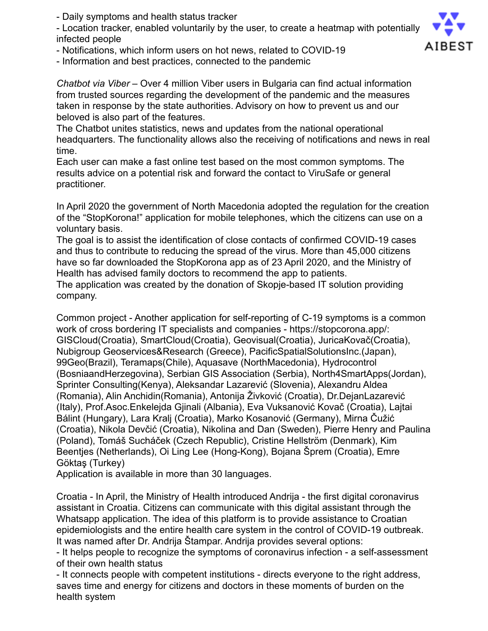- Daily symptoms and health status tracker

- Location tracker, enabled voluntarily by the user, to create a heatmap with potentially infected people

- Notifications, which inform users on hot news, related to COVID-19

- Information and best practices, connected to the pandemic

*Chatbot via Viber* – Over 4 million Viber users in Bulgaria can find actual information from trusted sources regarding the development of the pandemic and the measures taken in response by the state authorities. Advisory on how to prevent us and our beloved is also part of the features.

The Chatbot unites statistics, news and updates from the national operational headquarters. The functionality allows also the receiving of notifications and news in real time.

Each user can make a fast online test based on the most common symptoms. The results advice on a potential risk and forward the contact to ViruSafe or general practitioner.

In April 2020 the government of North Macedonia adopted the regulation for the creation of the "StopKorona!" application for mobile telephones, which the citizens can use on a voluntary basis.

The goal is to assist the identification of close contacts of confirmed COVID-19 cases and thus to contribute to reducing the spread of the virus. More than 45,000 citizens have so far downloaded the StopKorona app as of 23 April 2020, and the Ministry of Health has advised family doctors to recommend the app to patients.

The application was created by the donation of Skopje-based IT solution providing company.

Common project - Another application for self-reporting of C-19 symptoms is a common work of cross bordering IT specialists and companies - https://stopcorona.app/: GISCloud(Croatia), SmartCloud(Croatia), Geovisual(Croatia), JuricaKovač(Croatia), Nubigroup Geoservices&Research (Greece), PacificSpatialSolutionsInc.(Japan), 99Geo(Brazil), Teramaps(Chile), Aquasave (NorthMacedonia), Hydrocontrol (BosniaandHerzegovina), Serbian GIS Association (Serbia), North4SmartApps(Jordan), Sprinter Consulting(Kenya), Aleksandar Lazarević (Slovenia), Alexandru Aldea (Romania), Alin Anchidin(Romania), Antonija Živković (Croatia), Dr.DejanLazarević (Italy), Prof.Asoc.Enkelejda Gjinali (Albania), Eva Vuksanović Kovač (Croatia), Lajtai Bálint (Hungary), Lara Kralj (Croatia), Marko Kosanović (Germany), Mirna Čužić (Croatia), Nikola Devčić (Croatia), Nikolina and Dan (Sweden), Pierre Henry and Paulina (Poland), Tomáš Sucháček (Czech Republic), Cristine Hellström (Denmark), Kim Beentjes (Netherlands), Oi Ling Lee (Hong-Kong), Bojana Šprem (Croatia), Emre Göktaş (Turkey)

Application is available in more than 30 languages.

Croatia - In April, the Ministry of Health introduced Andrija - the first digital coronavirus assistant in Croatia. Citizens can communicate with this digital assistant through the Whatsapp application. The idea of this platform is to provide assistance to Croatian epidemiologists and the entire health care system in the control of COVID-19 outbreak. It was named after Dr. Andrija Štampar. Andrija provides several options:

- It helps people to recognize the symptoms of coronavirus infection - a self-assessment of their own health status

- It connects people with competent institutions - directs everyone to the right address, saves time and energy for citizens and doctors in these moments of burden on the health system

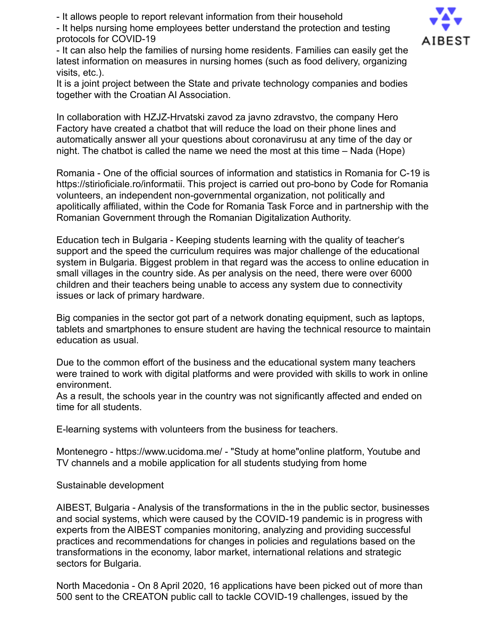- It allows people to report relevant information from their household

- It helps nursing home employees better understand the protection and testing protocols for COVID-19



- It can also help the families of nursing home residents. Families can easily get the latest information on measures in nursing homes (such as food delivery, organizing visits, etc.).

It is a joint project between the State and private technology companies and bodies together with the Croatian AI Association.

In collaboration with HZJZ-Hrvatski zavod za javno zdravstvo, the company Hero Factory have created a chatbot that will reduce the load on their phone lines and automatically answer all your questions about coronavirusu at any time of the day or night. The chatbot is called the name we need the most at this time – Nada (Hope)

Romania - One of the official sources of information and statistics in Romania for C-19 is https://stirioficiale.ro/informatii. This project is carried out pro-bono by Code for Romania volunteers, an independent non-governmental organization, not politically and apolitically affiliated, within the Code for Romania Task Force and in partnership with the Romanian Government through the Romanian Digitalization Authority.

Education tech in Bulgaria - Keeping students learning with the quality of teacher's support and the speed the curriculum requires was major challenge of the educational system in Bulgaria. Biggest problem in that regard was the access to online education in small villages in the country side. As per analysis on the need, there were over 6000 children and their teachers being unable to access any system due to connectivity issues or lack of primary hardware.

Big companies in the sector got part of a network donating equipment, such as laptops, tablets and smartphones to ensure student are having the technical resource to maintain education as usual.

Due to the common effort of the business and the educational system many teachers were trained to work with digital platforms and were provided with skills to work in online environment.

As a result, the schools year in the country was not significantly affected and ended on time for all students.

E-learning systems with volunteers from the business for teachers.

Montenegro - https://www.ucidoma.me/ - "Study at home"online platform, Youtube and TV channels and a mobile application for all students studying from home

Sustainable development

AIBEST, Bulgaria - Analysis of the transformations in the in the public sector, businesses and social systems, which were caused by the COVID-19 pandemic is in progress with experts from the AIBEST companies monitoring, analyzing and providing successful practices and recommendations for changes in policies and regulations based on the transformations in the economy, labor market, international relations and strategic sectors for Bulgaria.

North Macedonia - On 8 April 2020, 16 applications have been picked out of more than 500 sent to the CREATON public call to tackle COVID-19 challenges, issued by the